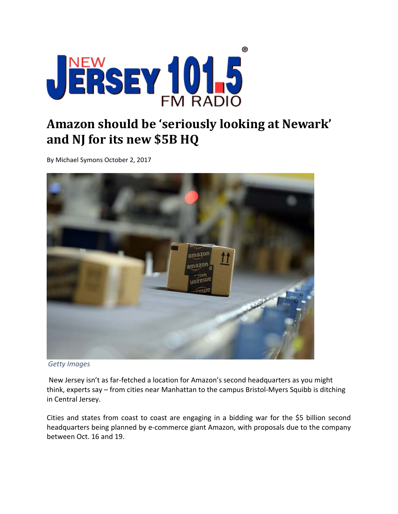

## **Amazon should be 'seriously looking at Newark' and NJ for its new \$5B HQ**

By Michael Symons October 2, 2017



*Getty Images*

New Jersey isn't as far‐fetched a location for Amazon's second headquarters as you might think, experts say – from cities near Manhattan to the campus Bristol‐Myers Squibb is ditching in Central Jersey.

Cities and states from coast to coast are engaging in a bidding war for the \$5 billion second headquarters being planned by e‐commerce giant Amazon, with proposals due to the company between Oct. 16 and 19.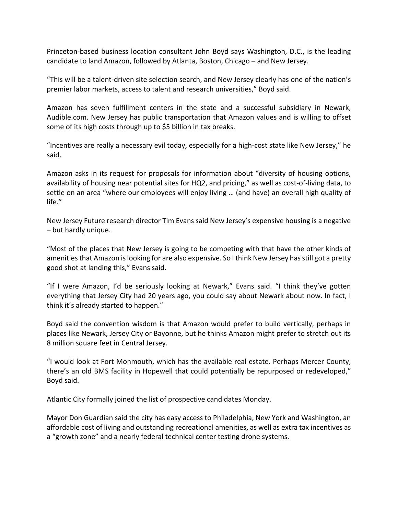Princeton‐based business location consultant John Boyd says Washington, D.C., is the leading candidate to land Amazon, followed by Atlanta, Boston, Chicago – and New Jersey.

"This will be a talent‐driven site selection search, and New Jersey clearly has one of the nation's premier labor markets, access to talent and research universities," Boyd said.

Amazon has seven fulfillment centers in the state and a successful subsidiary in Newark, Audible.com. New Jersey has public transportation that Amazon values and is willing to offset some of its high costs through up to \$5 billion in tax breaks.

"Incentives are really a necessary evil today, especially for a high‐cost state like New Jersey," he said.

Amazon asks in its request for proposals for information about "diversity of housing options, availability of housing near potential sites for HQ2, and pricing," as well as cost‐of‐living data, to settle on an area "where our employees will enjoy living … (and have) an overall high quality of life."

New Jersey Future research director Tim Evans said New Jersey's expensive housing is a negative – but hardly unique.

"Most of the places that New Jersey is going to be competing with that have the other kinds of amenitiesthat Amazon islooking for are also expensive. So I think New Jersey hasstill got a pretty good shot at landing this," Evans said.

"If I were Amazon, I'd be seriously looking at Newark," Evans said. "I think they've gotten everything that Jersey City had 20 years ago, you could say about Newark about now. In fact, I think it's already started to happen."

Boyd said the convention wisdom is that Amazon would prefer to build vertically, perhaps in places like Newark, Jersey City or Bayonne, but he thinks Amazon might prefer to stretch out its 8 million square feet in Central Jersey.

"I would look at Fort Monmouth, which has the available real estate. Perhaps Mercer County, there's an old BMS facility in Hopewell that could potentially be repurposed or redeveloped," Boyd said.

Atlantic City formally joined the list of prospective candidates Monday.

Mayor Don Guardian said the city has easy access to Philadelphia, New York and Washington, an affordable cost of living and outstanding recreational amenities, as well as extra tax incentives as a "growth zone" and a nearly federal technical center testing drone systems.